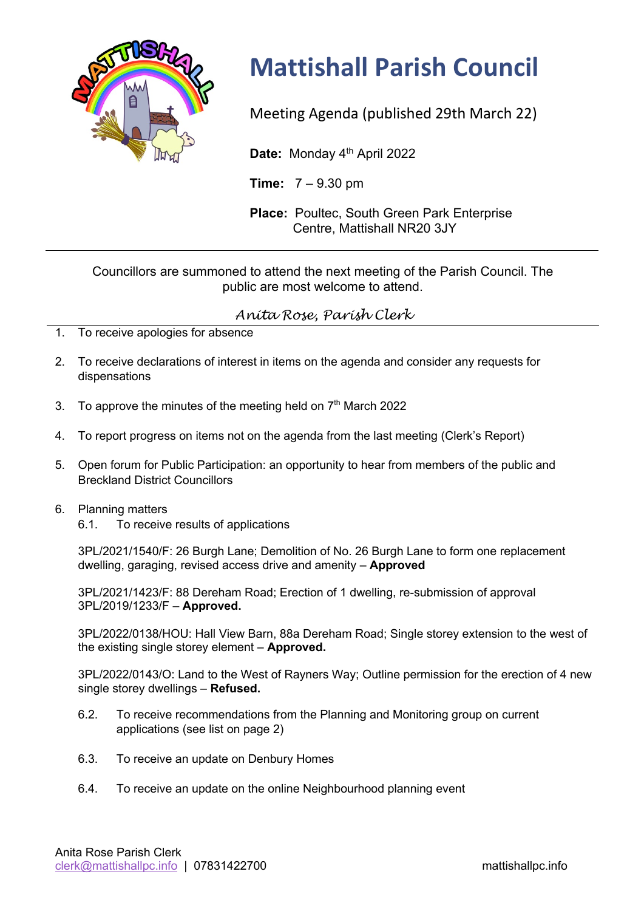

## **Mattishall Parish Council**

Meeting Agenda (published 29th March 22)

Date: Monday 4<sup>th</sup> April 2022

**Time:** 7 – 9.30 pm

**Place:** Poultec, South Green Park Enterprise Centre, Mattishall NR20 3JY

## Councillors are summoned to attend the next meeting of the Parish Council. The public are most welcome to attend.

## *Anita Rose, Parish Clerk*

- 1. To receive apologies for absence
- 2. To receive declarations of interest in items on the agenda and consider any requests for dispensations
- 3. To approve the minutes of the meeting held on  $7<sup>th</sup>$  March 2022
- 4. To report progress on items not on the agenda from the last meeting (Clerk's Report)
- 5. Open forum for Public Participation: an opportunity to hear from members of the public and Breckland District Councillors

## 6. Planning matters

6.1. To receive results of applications

3PL/2021/1540/F: 26 Burgh Lane; Demolition of No. 26 Burgh Lane to form one replacement dwelling, garaging, revised access drive and amenity – **Approved**

3PL/2021/1423/F: 88 Dereham Road; Erection of 1 dwelling, re-submission of approval 3PL/2019/1233/F – **Approved.**

3PL/2022/0138/HOU: Hall View Barn, 88a Dereham Road; Single storey extension to the west of the existing single storey element – **Approved.**

3PL/2022/0143/O: Land to the West of Rayners Way; Outline permission for the erection of 4 new single storey dwellings – **Refused.**

- 6.2. To receive recommendations from the Planning and Monitoring group on current applications (see list on page 2)
- 6.3. To receive an update on Denbury Homes
- 6.4. To receive an update on the online Neighbourhood planning event